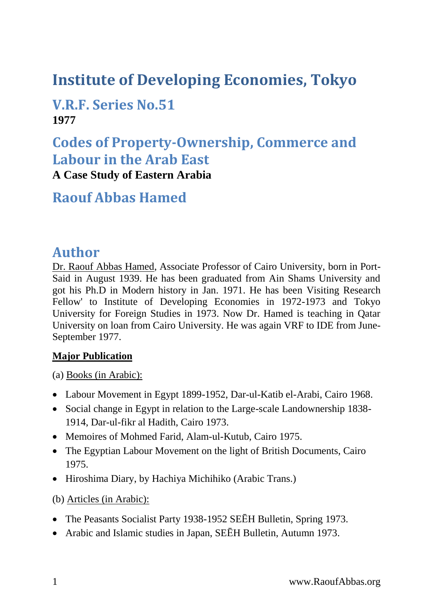# **Institute of Developing Economies, Tokyo**

### **V.R.F. Series No.51 1977**

# **Codes of Property-Ownership, Commerce and Labour in the Arab East**

**A Case Study of Eastern Arabia**

### **Raouf Abbas Hamed**

### **Author**

Dr. Raouf Abbas Hamed, Associate Professor of Cairo University, born in Port-Said in August 1939. He has been graduated from Ain Shams University and got his Ph.D in Modern history in Jan. 1971. He has been Visiting Research Fellow' to Institute of Developing Economies in 1972-1973 and Tokyo University for Foreign Studies in 1973. Now Dr. Hamed is teaching in Qatar University on loan from Cairo University. He was again VRF to IDE from June-September 1977.

#### **Major Publication**

(a) Books (in Arabic):

- Labour Movement in Egypt 1899-1952, Dar-ul-Katib el-Arabi, Cairo 1968.
- Social change in Egypt in relation to the Large-scale Landownership 1838- 1914, Dar-ul-fikr al Hadith, Cairo 1973.
- Memoires of Mohmed Farid, Alam-ul-Kutub, Cairo 1975.
- The Egyptian Labour Movement on the light of British Documents, Cairo 1975.
- Hiroshima Diary, by Hachiya Michihiko (Arabic Trans.)

(b) Articles (in Arabic):

- The Peasants Socialist Party 1938-1952 SEĒH Bulletin, Spring 1973.
- Arabic and Islamic studies in Japan, SEĒH Bulletin, Autumn 1973.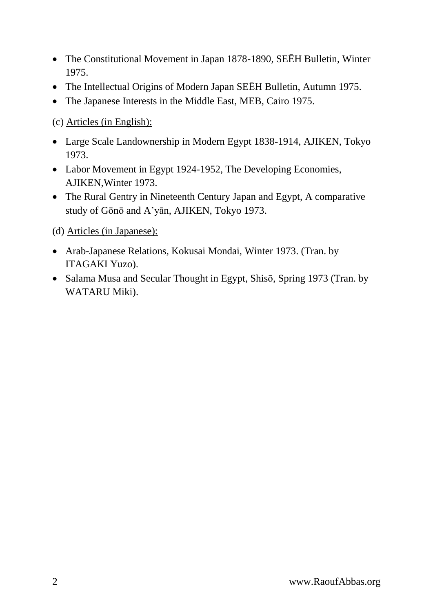- The Constitutional Movement in Japan 1878-1890, SEĒH Bulletin, Winter 1975.
- The Intellectual Origins of Modern Japan SEĒH Bulletin, Autumn 1975.
- The Japanese Interests in the Middle East, MEB, Cairo 1975.

(c) Articles (in English):

- Large Scale Landownership in Modern Egypt 1838-1914, AJIKEN, Tokyo 1973.
- Labor Movement in Egypt 1924-1952, The Developing Economies, AJIKEN,Winter 1973.
- The Rural Gentry in Nineteenth Century Japan and Egypt, A comparative study of Gōnō and A'yān, AJIKEN, Tokyo 1973.

(d) Articles (in Japanese):

- Arab-Japanese Relations, Kokusai Mondai, Winter 1973. (Tran. by ITAGAKI Yuzo).
- Salama Musa and Secular Thought in Egypt, Shisō, Spring 1973 (Tran. by WATARU Miki).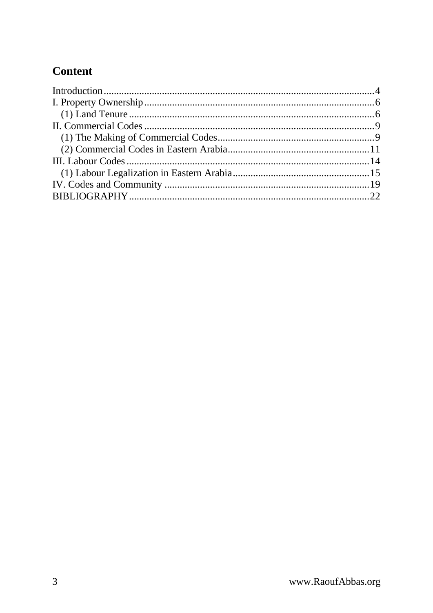### Content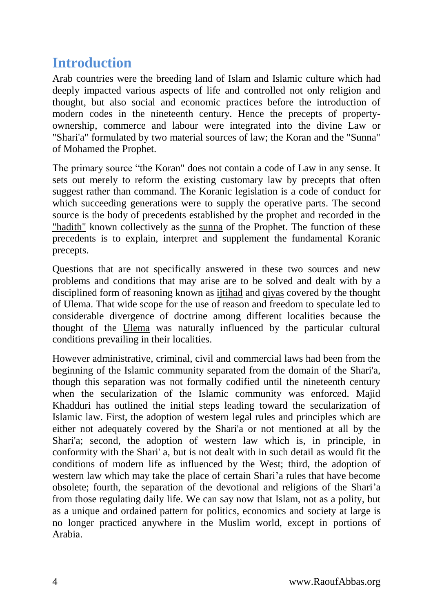### <span id="page-3-0"></span>**Introduction**

Arab countries were the breeding land of Islam and Islamic culture which had deeply impacted various aspects of life and controlled not only religion and thought, but also social and economic practices before the introduction of modern codes in the nineteenth century. Hence the precepts of propertyownership, commerce and labour were integrated into the divine Law or "Shari'a" formulated by two material sources of law; the Koran and the "Sunna" of Mohamed the Prophet.

The primary source "the Koran" does not contain a code of Law in any sense. It sets out merely to reform the existing customary law by precepts that often suggest rather than command. The Koranic legislation is a code of conduct for which succeeding generations were to supply the operative parts. The second source is the body of precedents established by the prophet and recorded in the "hadith" known collectively as the sunna of the Prophet. The function of these precedents is to explain, interpret and supplement the fundamental Koranic precepts.

Questions that are not specifically answered in these two sources and new problems and conditions that may arise are to be solved and dealt with by a disciplined form of reasoning known as ijtihad and qiyas covered by the thought of Ulema. That wide scope for the use of reason and freedom to speculate led to considerable divergence of doctrine among different localities because the thought of the Ulema was naturally influenced by the particular cultural conditions prevailing in their localities.

However administrative, criminal, civil and commercial laws had been from the beginning of the Islamic community separated from the domain of the Shari'a, though this separation was not formally codified until the nineteenth century when the secularization of the Islamic community was enforced. Majid Khadduri has outlined the initial steps leading toward the secularization of Islamic law. First, the adoption of western legal rules and principles which are either not adequately covered by the Shari'a or not mentioned at all by the Shari'a; second, the adoption of western law which is, in principle, in conformity with the Shari' a, but is not dealt with in such detail as would fit the conditions of modern life as influenced by the West; third, the adoption of western law which may take the place of certain Shari'a rules that have become obsolete; fourth, the separation of the devotional and religions of the Shari'a from those regulating daily life. We can say now that Islam, not as a polity, but as a unique and ordained pattern for politics, economics and society at large is no longer practiced anywhere in the Muslim world, except in portions of Arabia.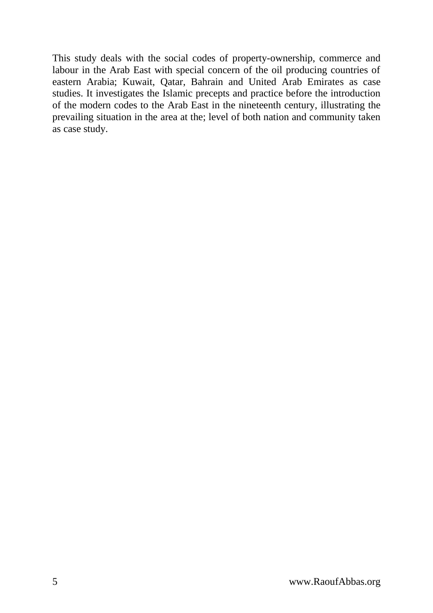This study deals with the social codes of property-ownership, commerce and labour in the Arab East with special concern of the oil producing countries of eastern Arabia; Kuwait, Qatar, Bahrain and United Arab Emirates as case studies. It investigates the Islamic precepts and practice before the introduction of the modern codes to the Arab East in the nineteenth century, illustrating the prevailing situation in the area at the; level of both nation and community taken as case study.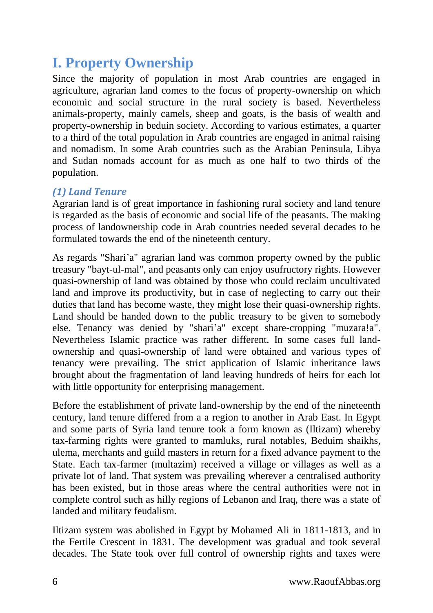# <span id="page-5-0"></span>**I. Property Ownership**

Since the majority of population in most Arab countries are engaged in agriculture, agrarian land comes to the focus of property-ownership on which economic and social structure in the rural society is based. Nevertheless animals-property, mainly camels, sheep and goats, is the basis of wealth and property-ownership in beduin society. According to various estimates, a quarter to a third of the total population in Arab countries are engaged in animal raising and nomadism. In some Arab countries such as the Arabian Peninsula, Libya and Sudan nomads account for as much as one half to two thirds of the population.

#### <span id="page-5-1"></span>*(1) Land Tenure*

Agrarian land is of great importance in fashioning rural society and land tenure is regarded as the basis of economic and social life of the peasants. The making process of landownership code in Arab countries needed several decades to be formulated towards the end of the nineteenth century.

As regards "Shari'a" agrarian land was common property owned by the public treasury "bayt-ul-mal", and peasants only can enjoy usufructory rights. However quasi-ownership of land was obtained by those who could reclaim uncultivated land and improve its productivity, but in case of neglecting to carry out their duties that land has become waste, they might lose their quasi-ownership rights. Land should be handed down to the public treasury to be given to somebody else. Tenancy was denied by "shari'a" except share-cropping "muzara!a". Nevertheless Islamic practice was rather different. In some cases full landownership and quasi-ownership of land were obtained and various types of tenancy were prevailing. The strict application of Islamic inheritance laws brought about the fragmentation of land leaving hundreds of heirs for each lot with little opportunity for enterprising management.

Before the establishment of private land-ownership by the end of the nineteenth century, land tenure differed from a a region to another in Arab East. In Egypt and some parts of Syria land tenure took a form known as (Iltizam) whereby tax-farming rights were granted to mamluks, rural notables, Beduim shaikhs, ulema, merchants and guild masters in return for a fixed advance payment to the State. Each tax-farmer (multazim) received a village or villages as well as a private lot of land. That system was prevailing wherever a centralised authority has been existed, but in those areas where the central authorities were not in complete control such as hilly regions of Lebanon and Iraq, there was a state of landed and military feudalism.

Iltizam system was abolished in Egypt by Mohamed Ali in 1811-1813, and in the Fertile Crescent in 1831. The development was gradual and took several decades. The State took over full control of ownership rights and taxes were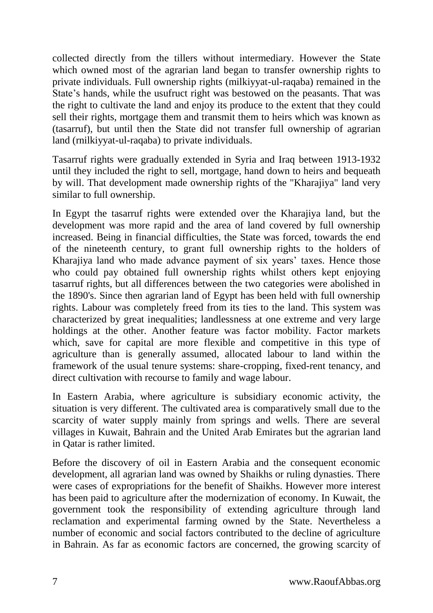collected directly from the tillers without intermediary. However the State which owned most of the agrarian land began to transfer ownership rights to private individuals. Full ownership rights (milkiyyat-ul-raqaba) remained in the State's hands, while the usufruct right was bestowed on the peasants. That was the right to cultivate the land and enjoy its produce to the extent that they could sell their rights, mortgage them and transmit them to heirs which was known as (tasarruf), but until then the State did not transfer full ownership of agrarian land (rnilkiyyat-ul-raqaba) to private individuals.

Tasarruf rights were gradually extended in Syria and Iraq between 1913-1932 until they included the right to sell, mortgage, hand down to heirs and bequeath by will. That development made ownership rights of the "Kharajiya" land very similar to full ownership.

In Egypt the tasarruf rights were extended over the Kharajiya land, but the development was more rapid and the area of land covered by full ownership increased. Being in financial difficulties, the State was forced, towards the end of the nineteenth century, to grant full ownership rights to the holders of Kharajiya land who made advance payment of six years' taxes. Hence those who could pay obtained full ownership rights whilst others kept enjoying tasarruf rights, but all differences between the two categories were abolished in the 1890's. Since then agrarian land of Egypt has been held with full ownership rights. Labour was completely freed from its ties to the land. This system was characterized by great inequalities; landlessness at one extreme and very large holdings at the other. Another feature was factor mobility. Factor markets which, save for capital are more flexible and competitive in this type of agriculture than is generally assumed, allocated labour to land within the framework of the usual tenure systems: share-cropping, fixed-rent tenancy, and direct cultivation with recourse to family and wage labour.

In Eastern Arabia, where agriculture is subsidiary economic activity, the situation is very different. The cultivated area is comparatively small due to the scarcity of water supply mainly from springs and wells. There are several villages in Kuwait, Bahrain and the United Arab Emirates but the agrarian land in Qatar is rather limited.

Before the discovery of oil in Eastern Arabia and the consequent economic development, all agrarian land was owned by Shaikhs or ruling dynasties. There were cases of expropriations for the benefit of Shaikhs. However more interest has been paid to agriculture after the modernization of economy. In Kuwait, the government took the responsibility of extending agriculture through land reclamation and experimental farming owned by the State. Nevertheless a number of economic and social factors contributed to the decline of agriculture in Bahrain. As far as economic factors are concerned, the growing scarcity of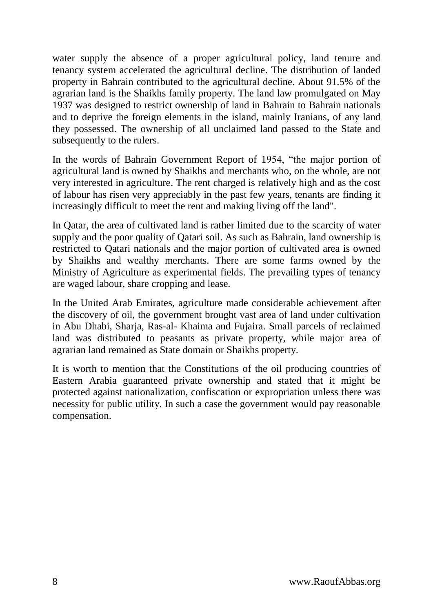water supply the absence of a proper agricultural policy, land tenure and tenancy system accelerated the agricultural decline. The distribution of landed property in Bahrain contributed to the agricultural decline. About 91.5% of the agrarian land is the Shaikhs family property. The land law promulgated on May 1937 was designed to restrict ownership of land in Bahrain to Bahrain nationals and to deprive the foreign elements in the island, mainly Iranians, of any land they possessed. The ownership of all unclaimed land passed to the State and subsequently to the rulers.

In the words of Bahrain Government Report of 1954, "the major portion of agricultural land is owned by Shaikhs and merchants who, on the whole, are not very interested in agriculture. The rent charged is relatively high and as the cost of labour has risen very appreciably in the past few years, tenants are finding it increasingly difficult to meet the rent and making living off the land".

In Qatar, the area of cultivated land is rather limited due to the scarcity of water supply and the poor quality of Qatari soil. As such as Bahrain, land ownership is restricted to Qatari nationals and the major portion of cultivated area is owned by Shaikhs and wealthy merchants. There are some farms owned by the Ministry of Agriculture as experimental fields. The prevailing types of tenancy are waged labour, share cropping and lease.

In the United Arab Emirates, agriculture made considerable achievement after the discovery of oil, the government brought vast area of land under cultivation in Abu Dhabi, Sharja, Ras-al- Khaima and Fujaira. Small parcels of reclaimed land was distributed to peasants as private property, while major area of agrarian land remained as State domain or Shaikhs property.

It is worth to mention that the Constitutions of the oil producing countries of Eastern Arabia guaranteed private ownership and stated that it might be protected against nationalization, confiscation or expropriation unless there was necessity for public utility. In such a case the government would pay reasonable compensation.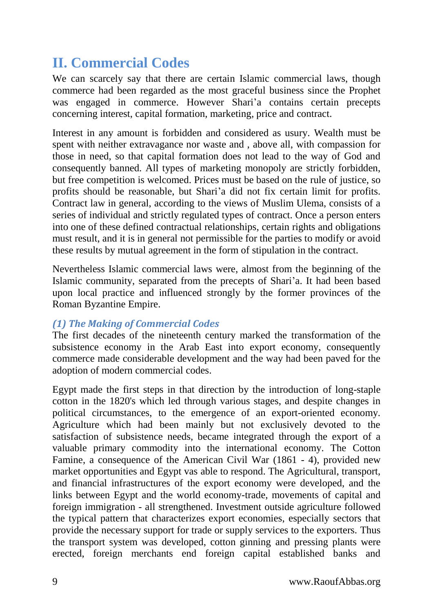# <span id="page-8-0"></span>**II. Commercial Codes**

We can scarcely say that there are certain Islamic commercial laws, though commerce had been regarded as the most graceful business since the Prophet was engaged in commerce. However Shari'a contains certain precepts concerning interest, capital formation, marketing, price and contract.

Interest in any amount is forbidden and considered as usury. Wealth must be spent with neither extravagance nor waste and , above all, with compassion for those in need, so that capital formation does not lead to the way of God and consequently banned. All types of marketing monopoly are strictly forbidden, but free competition is welcomed. Prices must be based on the rule of justice, so profits should be reasonable, but Shari'a did not fix certain limit for profits. Contract law in general, according to the views of Muslim Ulema, consists of a series of individual and strictly regulated types of contract. Once a person enters into one of these defined contractual relationships, certain rights and obligations must result, and it is in general not permissible for the parties to modify or avoid these results by mutual agreement in the form of stipulation in the contract.

Nevertheless Islamic commercial laws were, almost from the beginning of the Islamic community, separated from the precepts of Shari'a. It had been based upon local practice and influenced strongly by the former provinces of the Roman Byzantine Empire.

#### <span id="page-8-1"></span>*(1) The Making of Commercial Codes*

The first decades of the nineteenth century marked the transformation of the subsistence economy in the Arab East into export economy, consequently commerce made considerable development and the way had been paved for the adoption of modern commercial codes.

Egypt made the first steps in that direction by the introduction of long-staple cotton in the 1820's which led through various stages, and despite changes in political circumstances, to the emergence of an export-oriented economy. Agriculture which had been mainly but not exclusively devoted to the satisfaction of subsistence needs, became integrated through the export of a valuable primary commodity into the international economy. The Cotton Famine, a consequence of the American Civil War (1861 - 4), provided new market opportunities and Egypt vas able to respond. The Agricultural, transport, and financial infrastructures of the export economy were developed, and the links between Egypt and the world economy-trade, movements of capital and foreign immigration - all strengthened. Investment outside agriculture followed the typical pattern that characterizes export economies, especially sectors that provide the necessary support for trade or supply services to the exporters. Thus the transport system was developed, cotton ginning and pressing plants were erected, foreign merchants end foreign capital established banks and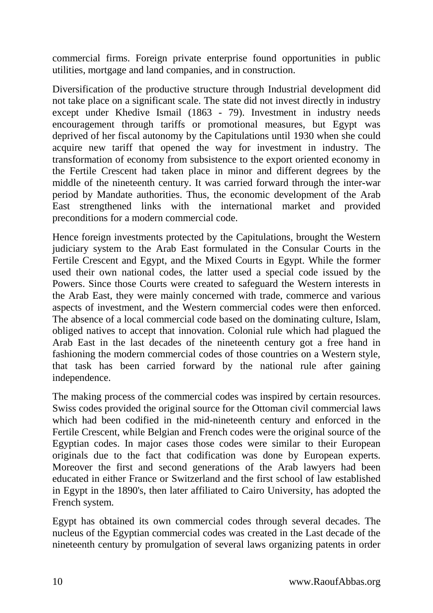commercial firms. Foreign private enterprise found opportunities in public utilities, mortgage and land companies, and in construction.

Diversification of the productive structure through Industrial development did not take place on a significant scale. The state did not invest directly in industry except under Khedive Ismail (1863 - 79). Investment in industry needs encouragement through tariffs or promotional measures, but Egypt was deprived of her fiscal autonomy by the Capitulations until 1930 when she could acquire new tariff that opened the way for investment in industry. The transformation of economy from subsistence to the export oriented economy in the Fertile Crescent had taken place in minor and different degrees by the middle of the nineteenth century. It was carried forward through the inter-war period by Mandate authorities. Thus, the economic development of the Arab East strengthened links with the international market and provided preconditions for a modern commercial code.

Hence foreign investments protected by the Capitulations, brought the Western judiciary system to the Arab East formulated in the Consular Courts in the Fertile Crescent and Egypt, and the Mixed Courts in Egypt. While the former used their own national codes, the latter used a special code issued by the Powers. Since those Courts were created to safeguard the Western interests in the Arab East, they were mainly concerned with trade, commerce and various aspects of investment, and the Western commercial codes were then enforced. The absence of a local commercial code based on the dominating culture, Islam, obliged natives to accept that innovation. Colonial rule which had plagued the Arab East in the last decades of the nineteenth century got a free hand in fashioning the modern commercial codes of those countries on a Western style, that task has been carried forward by the national rule after gaining independence.

The making process of the commercial codes was inspired by certain resources. Swiss codes provided the original source for the Ottoman civil commercial laws which had been codified in the mid-nineteenth century and enforced in the Fertile Crescent, while Belgian and French codes were the original source of the Egyptian codes. In major cases those codes were similar to their European originals due to the fact that codification was done by European experts. Moreover the first and second generations of the Arab lawyers had been educated in either France or Switzerland and the first school of law established in Egypt in the 1890's, then later affiliated to Cairo University, has adopted the French system.

Egypt has obtained its own commercial codes through several decades. The nucleus of the Egyptian commercial codes was created in the Last decade of the nineteenth century by promulgation of several laws organizing patents in order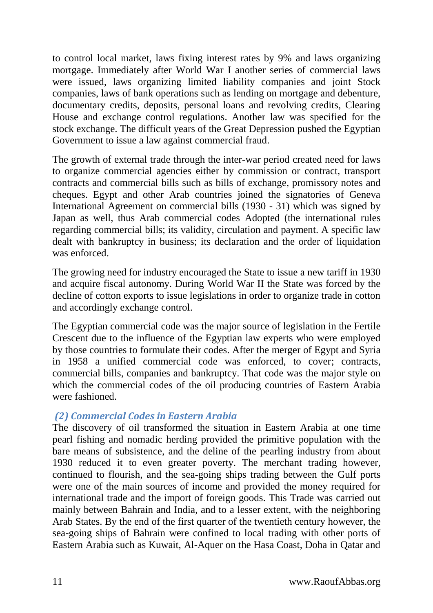to control local market, laws fixing interest rates by 9% and laws organizing mortgage. Immediately after World War I another series of commercial laws were issued, laws organizing limited liability companies and joint Stock companies, laws of bank operations such as lending on mortgage and debenture, documentary credits, deposits, personal loans and revolving credits, Clearing House and exchange control regulations. Another law was specified for the stock exchange. The difficult years of the Great Depression pushed the Egyptian Government to issue a law against commercial fraud.

The growth of external trade through the inter-war period created need for laws to organize commercial agencies either by commission or contract, transport contracts and commercial bills such as bills of exchange, promissory notes and cheques. Egypt and other Arab countries joined the signatories of Geneva International Agreement on commercial bills (1930 - 31) which was signed by Japan as well, thus Arab commercial codes Adopted (the international rules regarding commercial bills; its validity, circulation and payment. A specific law dealt with bankruptcy in business; its declaration and the order of liquidation was enforced.

The growing need for industry encouraged the State to issue a new tariff in 1930 and acquire fiscal autonomy. During World War II the State was forced by the decline of cotton exports to issue legislations in order to organize trade in cotton and accordingly exchange control.

The Egyptian commercial code was the major source of legislation in the Fertile Crescent due to the influence of the Egyptian law experts who were employed by those countries to formulate their codes. After the merger of Egypt and Syria in 1958 a unified commercial code was enforced, to cover; contracts, commercial bills, companies and bankruptcy. That code was the major style on which the commercial codes of the oil producing countries of Eastern Arabia were fashioned.

#### <span id="page-10-0"></span>*(2) Commercial Codes in Eastern Arabia*

The discovery of oil transformed the situation in Eastern Arabia at one time pearl fishing and nomadic herding provided the primitive population with the bare means of subsistence, and the deline of the pearling industry from about 1930 reduced it to even greater poverty. The merchant trading however, continued to flourish, and the sea-going ships trading between the Gulf ports were one of the main sources of income and provided the money required for international trade and the import of foreign goods. This Trade was carried out mainly between Bahrain and India, and to a lesser extent, with the neighboring Arab States. By the end of the first quarter of the twentieth century however, the sea-going ships of Bahrain were confined to local trading with other ports of Eastern Arabia such as Kuwait, Al-Aquer on the Hasa Coast, Doha in Qatar and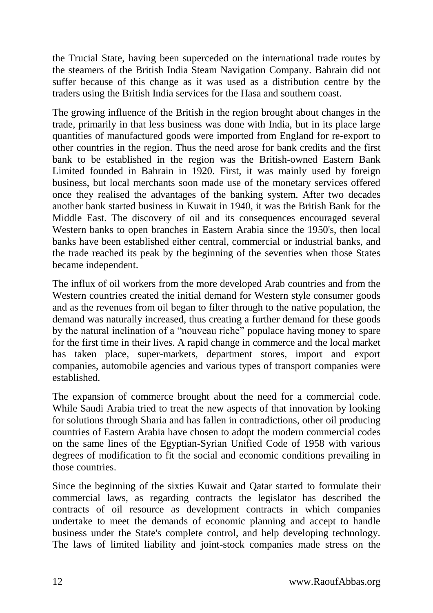the Trucial State, having been superceded on the international trade routes by the steamers of the British India Steam Navigation Company. Bahrain did not suffer because of this change as it was used as a distribution centre by the traders using the British India services for the Hasa and southern coast.

The growing influence of the British in the region brought about changes in the trade, primarily in that less business was done with India, but in its place large quantities of manufactured goods were imported from England for re-export to other countries in the region. Thus the need arose for bank credits and the first bank to be established in the region was the British-owned Eastern Bank Limited founded in Bahrain in 1920. First, it was mainly used by foreign business, but local merchants soon made use of the monetary services offered once they realised the advantages of the banking system. After two decades another bank started business in Kuwait in 1940, it was the British Bank for the Middle East. The discovery of oil and its consequences encouraged several Western banks to open branches in Eastern Arabia since the 1950's, then local banks have been established either central, commercial or industrial banks, and the trade reached its peak by the beginning of the seventies when those States became independent.

The influx of oil workers from the more developed Arab countries and from the Western countries created the initial demand for Western style consumer goods and as the revenues from oil began to filter through to the native population, the demand was naturally increased, thus creating a further demand for these goods by the natural inclination of a "nouveau riche" populace having money to spare for the first time in their lives. A rapid change in commerce and the local market has taken place, super-markets, department stores, import and export companies, automobile agencies and various types of transport companies were established.

The expansion of commerce brought about the need for a commercial code. While Saudi Arabia tried to treat the new aspects of that innovation by looking for solutions through Sharia and has fallen in contradictions, other oil producing countries of Eastern Arabia have chosen to adopt the modern commercial codes on the same lines of the Egyptian-Syrian Unified Code of 1958 with various degrees of modification to fit the social and economic conditions prevailing in those countries.

Since the beginning of the sixties Kuwait and Qatar started to formulate their commercial laws, as regarding contracts the legislator has described the contracts of oil resource as development contracts in which companies undertake to meet the demands of economic planning and accept to handle business under the State's complete control, and help developing technology. The laws of limited liability and joint-stock companies made stress on the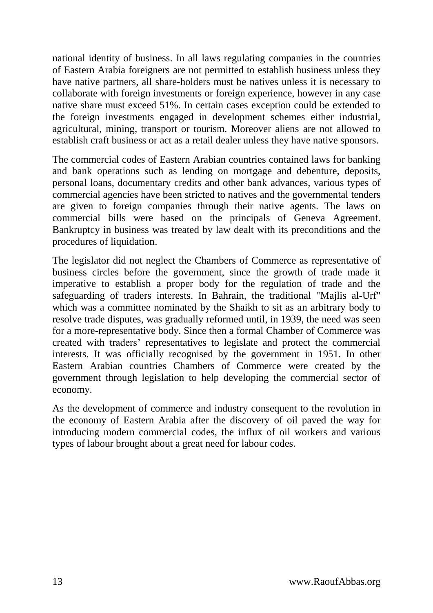national identity of business. In all laws regulating companies in the countries of Eastern Arabia foreigners are not permitted to establish business unless they have native partners, all share-holders must be natives unless it is necessary to collaborate with foreign investments or foreign experience, however in any case native share must exceed 51%. In certain cases exception could be extended to the foreign investments engaged in development schemes either industrial, agricultural, mining, transport or tourism. Moreover aliens are not allowed to establish craft business or act as a retail dealer unless they have native sponsors.

The commercial codes of Eastern Arabian countries contained laws for banking and bank operations such as lending on mortgage and debenture, deposits, personal loans, documentary credits and other bank advances, various types of commercial agencies have been stricted to natives and the governmental tenders are given to foreign companies through their native agents. The laws on commercial bills were based on the principals of Geneva Agreement. Bankruptcy in business was treated by law dealt with its preconditions and the procedures of liquidation.

The legislator did not neglect the Chambers of Commerce as representative of business circles before the government, since the growth of trade made it imperative to establish a proper body for the regulation of trade and the safeguarding of traders interests. In Bahrain, the traditional "Majlis al-Urf" which was a committee nominated by the Shaikh to sit as an arbitrary body to resolve trade disputes, was gradually reformed until, in 1939, the need was seen for a more-representative body. Since then a formal Chamber of Commerce was created with traders' representatives to legislate and protect the commercial interests. It was officially recognised by the government in 1951. In other Eastern Arabian countries Chambers of Commerce were created by the government through legislation to help developing the commercial sector of economy.

As the development of commerce and industry consequent to the revolution in the economy of Eastern Arabia after the discovery of oil paved the way for introducing modern commercial codes, the influx of oil workers and various types of labour brought about a great need for labour codes.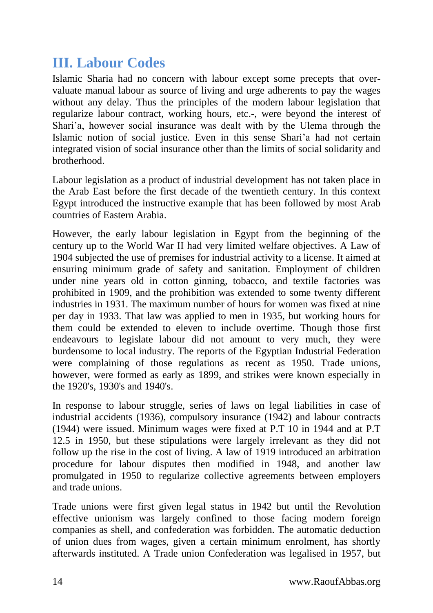### <span id="page-13-0"></span>**III. Labour Codes**

Islamic Sharia had no concern with labour except some precepts that overvaluate manual labour as source of living and urge adherents to pay the wages without any delay. Thus the principles of the modern labour legislation that regularize labour contract, working hours, etc.-, were beyond the interest of Shari'a, however social insurance was dealt with by the Ulema through the Islamic notion of social justice. Even in this sense Shari'a had not certain integrated vision of social insurance other than the limits of social solidarity and brotherhood.

Labour legislation as a product of industrial development has not taken place in the Arab East before the first decade of the twentieth century. In this context Egypt introduced the instructive example that has been followed by most Arab countries of Eastern Arabia.

However, the early labour legislation in Egypt from the beginning of the century up to the World War II had very limited welfare objectives. A Law of 1904 subjected the use of premises for industrial activity to a license. It aimed at ensuring minimum grade of safety and sanitation. Employment of children under nine years old in cotton ginning, tobacco, and textile factories was prohibited in 1909, and the prohibition was extended to some twenty different industries in 1931. The maximum number of hours for women was fixed at nine per day in 1933. That law was applied to men in 1935, but working hours for them could be extended to eleven to include overtime. Though those first endeavours to legislate labour did not amount to very much, they were burdensome to local industry. The reports of the Egyptian Industrial Federation were complaining of those regulations as recent as 1950. Trade unions, however, were formed as early as 1899, and strikes were known especially in the 1920's, 1930's and 1940's.

In response to labour struggle, series of laws on legal liabilities in case of industrial accidents (1936), compulsory insurance (1942) and labour contracts (1944) were issued. Minimum wages were fixed at P.T 10 in 1944 and at P.T 12.5 in 1950, but these stipulations were largely irrelevant as they did not follow up the rise in the cost of living. A law of 1919 introduced an arbitration procedure for labour disputes then modified in 1948, and another law promulgated in 1950 to regularize collective agreements between employers and trade unions.

Trade unions were first given legal status in 1942 but until the Revolution effective unionism was largely confined to those facing modern foreign companies as shell, and confederation was forbidden. The automatic deduction of union dues from wages, given a certain minimum enrolment, has shortly afterwards instituted. A Trade union Confederation was legalised in 1957, but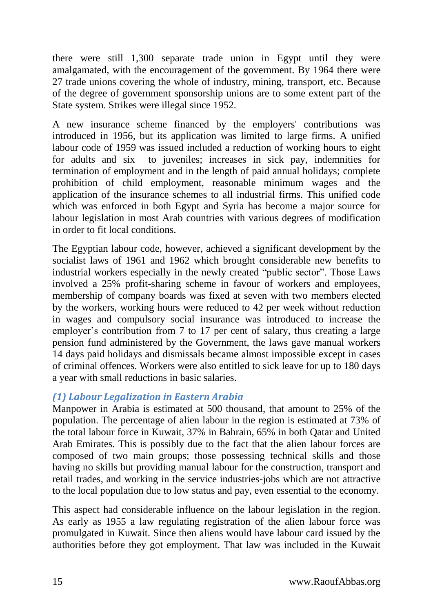there were still 1,300 separate trade union in Egypt until they were amalgamated, with the encouragement of the government. By 1964 there were 27 trade unions covering the whole of industry, mining, transport, etc. Because of the degree of government sponsorship unions are to some extent part of the State system. Strikes were illegal since 1952.

A new insurance scheme financed by the employers' contributions was introduced in 1956, but its application was limited to large firms. A unified labour code of 1959 was issued included a reduction of working hours to eight for adults and six to juveniles; increases in sick pay, indemnities for termination of employment and in the length of paid annual holidays; complete prohibition of child employment, reasonable minimum wages and the application of the insurance schemes to all industrial firms. This unified code which was enforced in both Egypt and Syria has become a major source for labour legislation in most Arab countries with various degrees of modification in order to fit local conditions.

The Egyptian labour code, however, achieved a significant development by the socialist laws of 1961 and 1962 which brought considerable new benefits to industrial workers especially in the newly created "public sector". Those Laws involved a 25% profit-sharing scheme in favour of workers and employees, membership of company boards was fixed at seven with two members elected by the workers, working hours were reduced to 42 per week without reduction in wages and compulsory social insurance was introduced to increase the employer's contribution from 7 to 17 per cent of salary, thus creating a large pension fund administered by the Government, the laws gave manual workers 14 days paid holidays and dismissals became almost impossible except in cases of criminal offences. Workers were also entitled to sick leave for up to 180 days a year with small reductions in basic salaries.

#### <span id="page-14-0"></span>*(1) Labour Legalization in Eastern Arabia*

Manpower in Arabia is estimated at 500 thousand, that amount to 25% of the population. The percentage of alien labour in the region is estimated at 73% of the total labour force in Kuwait, 37% in Bahrain, 65% in both Qatar and United Arab Emirates. This is possibly due to the fact that the alien labour forces are composed of two main groups; those possessing technical skills and those having no skills but providing manual labour for the construction, transport and retail trades, and working in the service industries-jobs which are not attractive to the local population due to low status and pay, even essential to the economy.

This aspect had considerable influence on the labour legislation in the region. As early as 1955 a law regulating registration of the alien labour force was promulgated in Kuwait. Since then aliens would have labour card issued by the authorities before they got employment. That law was included in the Kuwait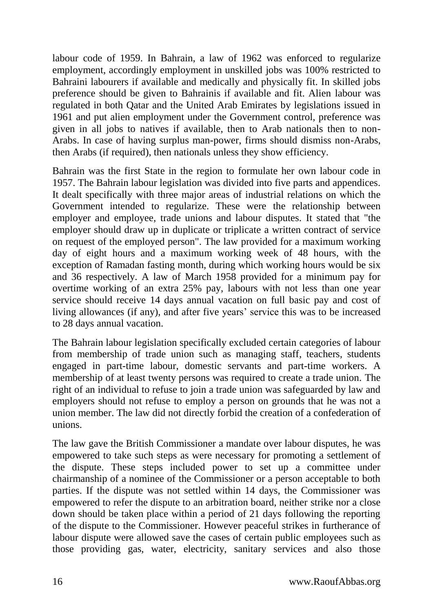labour code of 1959. In Bahrain, a law of 1962 was enforced to regularize employment, accordingly employment in unskilled jobs was 100% restricted to Bahraini labourers if available and medically and physically fit. In skilled jobs preference should be given to Bahrainis if available and fit. Alien labour was regulated in both Qatar and the United Arab Emirates by legislations issued in 1961 and put alien employment under the Government control, preference was given in all jobs to natives if available, then to Arab nationals then to non-Arabs. In case of having surplus man-power, firms should dismiss non-Arabs, then Arabs (if required), then nationals unless they show efficiency.

Bahrain was the first State in the region to formulate her own labour code in 1957. The Bahrain labour legislation was divided into five parts and appendices. It dealt specifically with three major areas of industrial relations on which the Government intended to regularize. These were the relationship between employer and employee, trade unions and labour disputes. It stated that "the employer should draw up in duplicate or triplicate a written contract of service on request of the employed person". The law provided for a maximum working day of eight hours and a maximum working week of 48 hours, with the exception of Ramadan fasting month, during which working hours would be six and 36 respectively. A law of March 1958 provided for a minimum pay for overtime working of an extra 25% pay, labours with not less than one year service should receive 14 days annual vacation on full basic pay and cost of living allowances (if any), and after five years' service this was to be increased to 28 days annual vacation.

The Bahrain labour legislation specifically excluded certain categories of labour from membership of trade union such as managing staff, teachers, students engaged in part-time labour, domestic servants and part-time workers. A membership of at least twenty persons was required to create a trade union. The right of an individual to refuse to join a trade union was safeguarded by law and employers should not refuse to employ a person on grounds that he was not a union member. The law did not directly forbid the creation of a confederation of unions.

The law gave the British Commissioner a mandate over labour disputes, he was empowered to take such steps as were necessary for promoting a settlement of the dispute. These steps included power to set up a committee under chairmanship of a nominee of the Commissioner or a person acceptable to both parties. If the dispute was not settled within 14 days, the Commissioner was empowered to refer the dispute to an arbitration board, neither strike nor a close down should be taken place within a period of 21 days following the reporting of the dispute to the Commissioner. However peaceful strikes in furtherance of labour dispute were allowed save the cases of certain public employees such as those providing gas, water, electricity, sanitary services and also those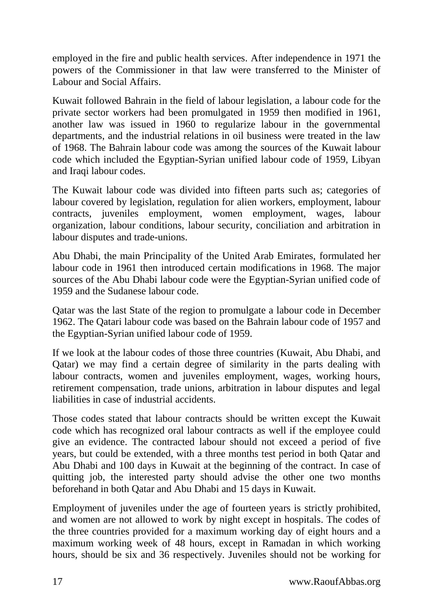employed in the fire and public health services. After independence in 1971 the powers of the Commissioner in that law were transferred to the Minister of Labour and Social Affairs.

Kuwait followed Bahrain in the field of labour legislation, a labour code for the private sector workers had been promulgated in 1959 then modified in 1961, another law was issued in 1960 to regularize labour in the governmental departments, and the industrial relations in oil business were treated in the law of 1968. The Bahrain labour code was among the sources of the Kuwait labour code which included the Egyptian-Syrian unified labour code of 1959, Libyan and Iraqi labour codes.

The Kuwait labour code was divided into fifteen parts such as; categories of labour covered by legislation, regulation for alien workers, employment, labour contracts, juveniles employment, women employment, wages, labour organization, labour conditions, labour security, conciliation and arbitration in labour disputes and trade-unions.

Abu Dhabi, the main Principality of the United Arab Emirates, formulated her labour code in 1961 then introduced certain modifications in 1968. The major sources of the Abu Dhabi labour code were the Egyptian-Syrian unified code of 1959 and the Sudanese labour code.

Qatar was the last State of the region to promulgate a labour code in December 1962. The Qatari labour code was based on the Bahrain labour code of 1957 and the Egyptian-Syrian unified labour code of 1959.

If we look at the labour codes of those three countries (Kuwait, Abu Dhabi, and Qatar) we may find a certain degree of similarity in the parts dealing with labour contracts, women and juveniles employment, wages, working hours, retirement compensation, trade unions, arbitration in labour disputes and legal liabilities in case of industrial accidents.

Those codes stated that labour contracts should be written except the Kuwait code which has recognized oral labour contracts as well if the employee could give an evidence. The contracted labour should not exceed a period of five years, but could be extended, with a three months test period in both Qatar and Abu Dhabi and 100 days in Kuwait at the beginning of the contract. In case of quitting job, the interested party should advise the other one two months beforehand in both Qatar and Abu Dhabi and 15 days in Kuwait.

Employment of juveniles under the age of fourteen years is strictly prohibited, and women are not allowed to work by night except in hospitals. The codes of the three countries provided for a maximum working day of eight hours and a maximum working week of 48 hours, except in Ramadan in which working hours, should be six and 36 respectively. Juveniles should not be working for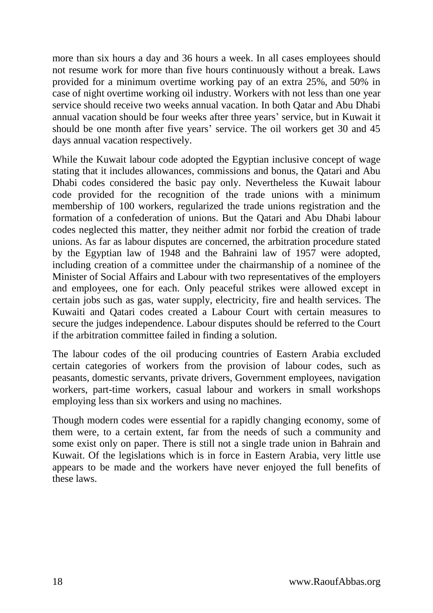more than six hours a day and 36 hours a week. In all cases employees should not resume work for more than five hours continuously without a break. Laws provided for a minimum overtime working pay of an extra 25%, and 50% in case of night overtime working oil industry. Workers with not less than one year service should receive two weeks annual vacation. In both Qatar and Abu Dhabi annual vacation should be four weeks after three years' service, but in Kuwait it should be one month after five years' service. The oil workers get 30 and 45 days annual vacation respectively.

While the Kuwait labour code adopted the Egyptian inclusive concept of wage stating that it includes allowances, commissions and bonus, the Qatari and Abu Dhabi codes considered the basic pay only. Nevertheless the Kuwait labour code provided for the recognition of the trade unions with a minimum membership of 100 workers, regularized the trade unions registration and the formation of a confederation of unions. But the Qatari and Abu Dhabi labour codes neglected this matter, they neither admit nor forbid the creation of trade unions. As far as labour disputes are concerned, the arbitration procedure stated by the Egyptian law of 1948 and the Bahraini law of 1957 were adopted, including creation of a committee under the chairmanship of a nominee of the Minister of Social Affairs and Labour with two representatives of the employers and employees, one for each. Only peaceful strikes were allowed except in certain jobs such as gas, water supply, electricity, fire and health services. The Kuwaiti and Qatari codes created a Labour Court with certain measures to secure the judges independence. Labour disputes should be referred to the Court if the arbitration committee failed in finding a solution.

The labour codes of the oil producing countries of Eastern Arabia excluded certain categories of workers from the provision of labour codes, such as peasants, domestic servants, private drivers, Government employees, navigation workers, part-time workers, casual labour and workers in small workshops employing less than six workers and using no machines.

Though modern codes were essential for a rapidly changing economy, some of them were, to a certain extent, far from the needs of such a community and some exist only on paper. There is still not a single trade union in Bahrain and Kuwait. Of the legislations which is in force in Eastern Arabia, very little use appears to be made and the workers have never enjoyed the full benefits of these laws.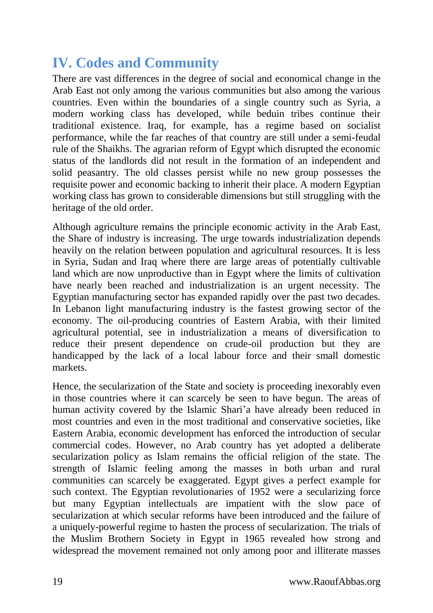## <span id="page-18-0"></span>**IV. Codes and Community**

There are vast differences in the degree of social and economical change in the Arab East not only among the various communities but also among the various countries. Even within the boundaries of a single country such as Syria, a modern working class has developed, while beduin tribes continue their traditional existence. Iraq, for example, has a regime based on socialist performance, while the far reaches of that country are still under a semi-feudal rule of the Shaikhs. The agrarian reform of Egypt which disrupted the economic status of the landlords did not result in the formation of an independent and solid peasantry. The old classes persist while no new group possesses the requisite power and economic backing to inherit their place. A modern Egyptian working class has grown to considerable dimensions but still struggling with the heritage of the old order.

Although agriculture remains the principle economic activity in the Arab East, the Share of industry is increasing. The urge towards industrialization depends heavily on the relation between population and agricultural resources. It is less in Syria, Sudan and Iraq where there are large areas of potentially cultivable land which are now unproductive than in Egypt where the limits of cultivation have nearly been reached and industrialization is an urgent necessity. The Egyptian manufacturing sector has expanded rapidly over the past two decades. In Lebanon light manufacturing industry is the fastest growing sector of the economy. The oil-producing countries of Eastern Arabia, with their limited agricultural potential, see in industrialization a means of diversification to reduce their present dependence on crude-oil production but they are handicapped by the lack of a local labour force and their small domestic markets.

Hence, the secularization of the State and society is proceeding inexorably even in those countries where it can scarcely be seen to have begun. The areas of human activity covered by the Islamic Shari'a have already been reduced in most countries and even in the most traditional and conservative societies, like Eastern Arabia, economic development has enforced the introduction of secular commercial codes. However, no Arab country has yet adopted a deliberate secularization policy as Islam remains the official religion of the state. The strength of Islamic feeling among the masses in both urban and rural communities can scarcely be exaggerated. Egypt gives a perfect example for such context. The Egyptian revolutionaries of 1952 were a secularizing force but many Egyptian intellectuals are impatient with the slow pace of secularization at which secular reforms have been introduced and the failure of a uniquely-powerful regime to hasten the process of secularization. The trials of the Muslim Brothern Society in Egypt in 1965 revealed how strong and widespread the movement remained not only among poor and illiterate masses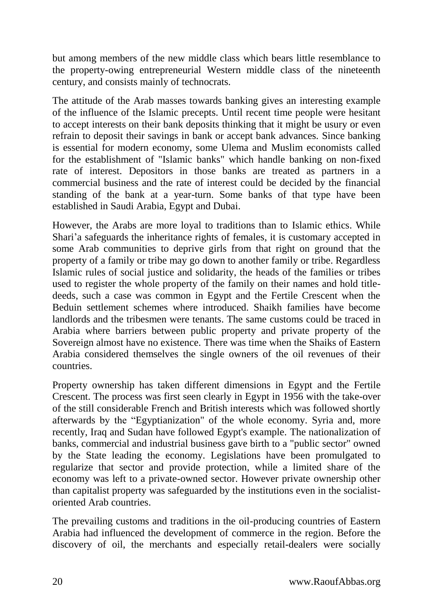but among members of the new middle class which bears little resemblance to the property-owing entrepreneurial Western middle class of the nineteenth century, and consists mainly of technocrats.

The attitude of the Arab masses towards banking gives an interesting example of the influence of the Islamic precepts. Until recent time people were hesitant to accept interests on their bank deposits thinking that it might be usury or even refrain to deposit their savings in bank or accept bank advances. Since banking is essential for modern economy, some Ulema and Muslim economists called for the establishment of "Islamic banks" which handle banking on non-fixed rate of interest. Depositors in those banks are treated as partners in a commercial business and the rate of interest could be decided by the financial standing of the bank at a year-turn. Some banks of that type have been established in Saudi Arabia, Egypt and Dubai.

However, the Arabs are more loyal to traditions than to Islamic ethics. While Shari'a safeguards the inheritance rights of females, it is customary accepted in some Arab communities to deprive girls from that right on ground that the property of a family or tribe may go down to another family or tribe. Regardless Islamic rules of social justice and solidarity, the heads of the families or tribes used to register the whole property of the family on their names and hold titledeeds, such a case was common in Egypt and the Fertile Crescent when the Beduin settlement schemes where introduced. Shaikh families have become landlords and the tribesmen were tenants. The same customs could be traced in Arabia where barriers between public property and private property of the Sovereign almost have no existence. There was time when the Shaiks of Eastern Arabia considered themselves the single owners of the oil revenues of their countries.

Property ownership has taken different dimensions in Egypt and the Fertile Crescent. The process was first seen clearly in Egypt in 1956 with the take-over of the still considerable French and British interests which was followed shortly afterwards by the "Egyptianization" of the whole economy. Syria and, more recently, Iraq and Sudan have followed Egypt's example. The nationalization of banks, commercial and industrial business gave birth to a "public sector" owned by the State leading the economy. Legislations have been promulgated to regularize that sector and provide protection, while a limited share of the economy was left to a private-owned sector. However private ownership other than capitalist property was safeguarded by the institutions even in the socialistoriented Arab countries.

The prevailing customs and traditions in the oil-producing countries of Eastern Arabia had influenced the development of commerce in the region. Before the discovery of oil, the merchants and especially retail-dealers were socially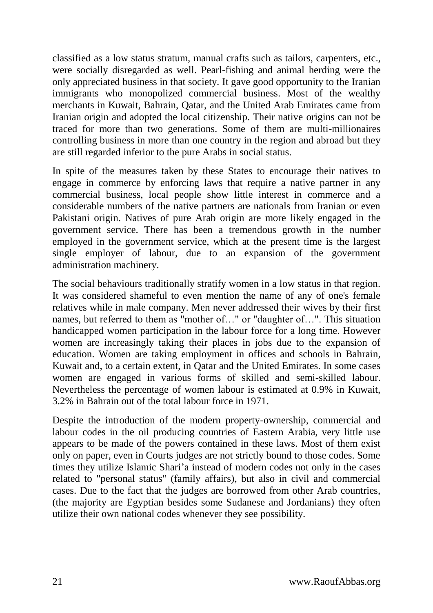classified as a low status stratum, manual crafts such as tailors, carpenters, etc., were socially disregarded as well. Pearl-fishing and animal herding were the only appreciated business in that society. It gave good opportunity to the Iranian immigrants who monopolized commercial business. Most of the wealthy merchants in Kuwait, Bahrain, Qatar, and the United Arab Emirates came from Iranian origin and adopted the local citizenship. Their native origins can not be traced for more than two generations. Some of them are multi-millionaires controlling business in more than one country in the region and abroad but they are still regarded inferior to the pure Arabs in social status.

In spite of the measures taken by these States to encourage their natives to engage in commerce by enforcing laws that require a native partner in any commercial business, local people show little interest in commerce and a considerable numbers of the native partners are nationals from Iranian or even Pakistani origin. Natives of pure Arab origin are more likely engaged in the government service. There has been a tremendous growth in the number employed in the government service, which at the present time is the largest single employer of labour, due to an expansion of the government administration machinery.

The social behaviours traditionally stratify women in a low status in that region. It was considered shameful to even mention the name of any of one's female relatives while in male company. Men never addressed their wives by their first names, but referred to them as "mother of..." or "daughter of...". This situation handicapped women participation in the labour force for a long time. However women are increasingly taking their places in jobs due to the expansion of education. Women are taking employment in offices and schools in Bahrain, Kuwait and, to a certain extent, in Qatar and the United Emirates. In some cases women are engaged in various forms of skilled and semi-skilled labour. Nevertheless the percentage of women labour is estimated at 0.9% in Kuwait, 3.2% in Bahrain out of the total labour force in 1971.

Despite the introduction of the modern property-ownership, commercial and labour codes in the oil producing countries of Eastern Arabia, very little use appears to be made of the powers contained in these laws. Most of them exist only on paper, even in Courts judges are not strictly bound to those codes. Some times they utilize Islamic Shari'a instead of modern codes not only in the cases related to "personal status" (family affairs), but also in civil and commercial cases. Due to the fact that the judges are borrowed from other Arab countries, (the majority are Egyptian besides some Sudanese and Jordanians) they often utilize their own national codes whenever they see possibility.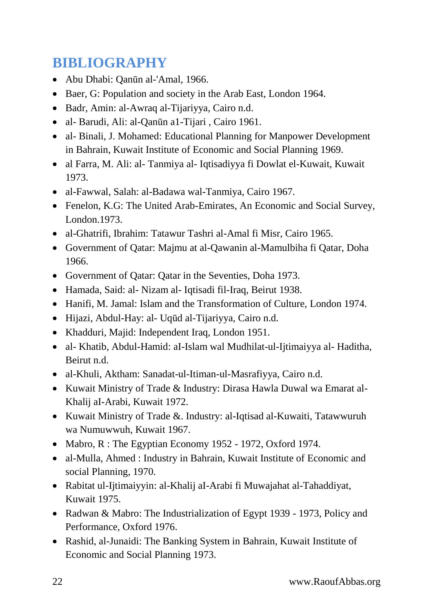# <span id="page-21-0"></span>**BIBLIOGRAPHY**

- Abu Dhabi: Qanūn al-'Amal, 1966.
- Baer, G: Population and society in the Arab East, London 1964.
- Badr, Amin: al-Awraq al-Tijariyya, Cairo n.d.
- al- Barudi, Ali: al-Qanūn a1-Tijari , Cairo 1961.
- al- Binali, J. Mohamed: Educational Planning for Manpower Development in Bahrain, Kuwait Institute of Economic and Social Planning 1969.
- al Farra, M. Ali: al- Tanmiya al- Iqtisadiyya fi Dowlat el-Kuwait, Kuwait 1973.
- al-Fawwal, Salah: al-Badawa wal-Tanmiya, Cairo 1967.
- Fenelon, K.G: The United Arab-Emirates, An Economic and Social Survey, London.1973.
- al-Ghatrifi, Ibrahim: Tatawur Tashri al-Amal fi Misr, Cairo 1965.
- Government of Qatar: Majmu at al-Qawanin al-Mamulbiha fi Qatar, Doha 1966.
- Government of Qatar: Qatar in the Seventies, Doha 1973.
- Hamada, Said: al- Nizam al- Iqtisadi fil-Iraq, Beirut 1938.
- Hanifi, M. Jamal: Islam and the Transformation of Culture, London 1974.
- Hijazi, Abdul-Hay: al- Uqūd al-Tijariyya, Cairo n.d.
- Khadduri, Majid: Independent Iraq, London 1951.
- al- Khatib, Abdul-Hamid: al-Islam wal Mudhilat-ul-Ijtimaiyya al- Haditha, Beirut n.d.
- al-Khuli, Aktham: Sanadat-ul-Itiman-ul-Masrafiyya, Cairo n.d.
- Kuwait Ministry of Trade & Industry: Dirasa Hawla Duwal wa Emarat al-Khalij aI-Arabi, Kuwait 1972.
- Kuwait Ministry of Trade &. Industry: al-Iqtisad al-Kuwaiti, Tatawwuruh wa Numuwwuh, Kuwait 1967.
- Mabro, R : The Egyptian Economy 1952 1972, Oxford 1974.
- al-Mulla, Ahmed : Industry in Bahrain, Kuwait Institute of Economic and social Planning, 1970.
- Rabitat ul-Ijtimaiyyin: al-Khalij aI-Arabi fi Muwajahat al-Tahaddiyat, Kuwait 1975.
- Radwan & Mabro: The Industrialization of Egypt 1939 1973, Policy and Performance, Oxford 1976.
- Rashid, al-Junaidi: The Banking System in Bahrain, Kuwait Institute of Economic and Social Planning 1973.